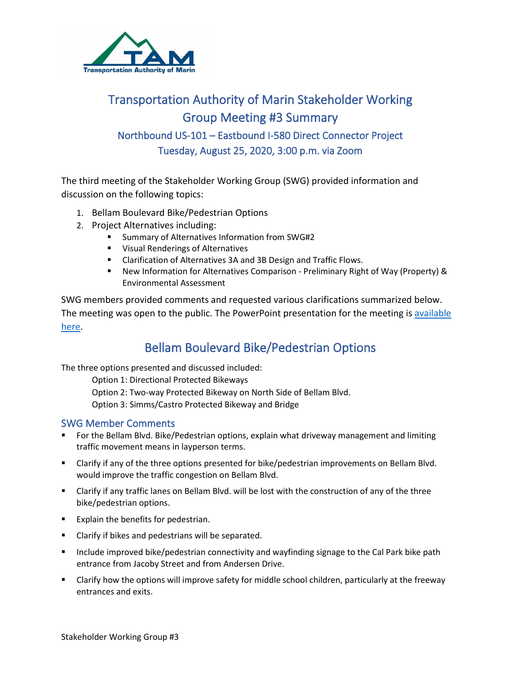

# Transportation Authority of Marin Stakeholder Working Group Meeting #3 Summary Northbound US-101 – Eastbound I-580 Direct Connector Project Tuesday, August 25, 2020, 3:00 p.m. via Zoom

The third meeting of the Stakeholder Working Group (SWG) provided information and discussion on the following topics:

- 1. Bellam Boulevard Bike/Pedestrian Options
- 2. Project Alternatives including:
	- Summary of Alternatives Information from SWG#2
	- **URIGE:** Visual Renderings of Alternatives
	- **E** Clarification of Alternatives 3A and 3B Design and Traffic Flows.
	- New Information for Alternatives Comparison Preliminary Right of Way (Property) & Environmental Assessment

SWG members provided comments and requested various clarifications summarized below. The meeting was open to the public. The PowerPoint presentation for the meeting is [available](https://2b0kd44aw6tb3js4ja3jprp6-wpengine.netdna-ssl.com/wp-content/uploads/2020/08/101-580-SWG-3-Final-Presentation-forPOSTING-rev1.pdf)  [here.](https://2b0kd44aw6tb3js4ja3jprp6-wpengine.netdna-ssl.com/wp-content/uploads/2020/08/101-580-SWG-3-Final-Presentation-forPOSTING-rev1.pdf)

# Bellam Boulevard Bike/Pedestrian Options

The three options presented and discussed included:

Option 1: Directional Protected Bikeways

Option 2: Two-way Protected Bikeway on North Side of Bellam Blvd.

Option 3: Simms/Castro Protected Bikeway and Bridge

#### SWG Member Comments

- For the Bellam Blvd. Bike/Pedestrian options, explain what driveway management and limiting traffic movement means in layperson terms.
- Clarify if any of the three options presented for bike/pedestrian improvements on Bellam Blvd. would improve the traffic congestion on Bellam Blvd.
- Clarify if any traffic lanes on Bellam Blvd. will be lost with the construction of any of the three bike/pedestrian options.
- **Explain the benefits for pedestrian.**
- **EXTER** Clarify if bikes and pedestrians will be separated.
- Include improved bike/pedestrian connectivity and wayfinding signage to the Cal Park bike path entrance from Jacoby Street and from Andersen Drive.
- Clarify how the options will improve safety for middle school children, particularly at the freeway entrances and exits.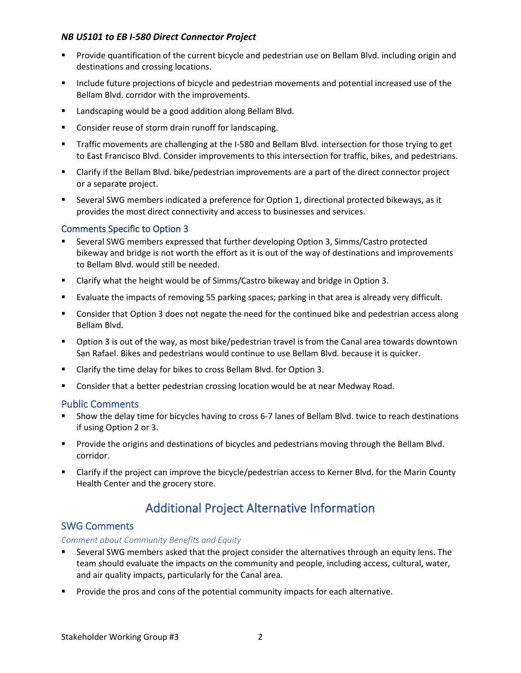#### *NB US101 to EB I-580 Direct Connector Project*

- **Provide quantification of the current bicycle and pedestrian use on Bellam Blvd. including origin and** destinations and crossing locations.
- **Include future projections of bicycle and pedestrian movements and potential increased use of the** Bellam Blvd. corridor with the improvements.
- **E** Landscaping would be a good addition along Bellam Blvd.
- **EXECONSTANCE CONSIDER FIGURE 1** Consider reuse of storm drain runoff for landscaping.
- Traffic movements are challenging at the I-580 and Bellam Blvd. intersection for those trying to get to East Francisco Blvd. Consider improvements to this intersection for traffic, bikes, and pedestrians.
- Clarify if the Bellam Blvd. bike/pedestrian improvements are a part of the direct connector project or a separate project.
- Several SWG members indicated a preference for Option 1, directional protected bikeways, as it provides the most direct connectivity and access to businesses and services.

#### Comments Specific to Option 3

- Several SWG members expressed that further developing Option 3, Simms/Castro protected bikeway and bridge is not worth the effort as it is out of the way of destinations and improvements to Bellam Blvd. would still be needed.
- Clarify what the height would be of Simms/Castro bikeway and bridge in Option 3.
- Evaluate the impacts of removing 55 parking spaces; parking in that area is already very difficult.
- Consider that Option 3 does not negate the need for the continued bike and pedestrian access along Bellam Blvd.
- Option 3 is out of the way, as most bike/pedestrian travel is from the Canal area towards downtown San Rafael. Bikes and pedestrians would continue to use Bellam Blvd. because it is quicker.
- Clarify the time delay for bikes to cross Bellam Blvd. for Option 3.
- Consider that a better pedestrian crossing location would be at near Medway Road.

#### Public Comments

- Show the delay time for bicycles having to cross 6-7 lanes of Bellam Blvd. twice to reach destinations if using Option 2 or 3.
- **Provide the origins and destinations of bicycles and pedestrians moving through the Bellam Blvd.** corridor.
- Clarify if the project can improve the bicycle/pedestrian access to Kerner Blvd. for the Marin County Health Center and the grocery store.

## Additional Project Alternative Information

### SWG Comments

#### *Comment about Community Benefits and Equity*

- Several SWG members asked that the project consider the alternatives through an equity lens. The team should evaluate the impacts on the community and people, including access, cultural, water, and air quality impacts, particularly for the Canal area.
- Provide the pros and cons of the potential community impacts for each alternative.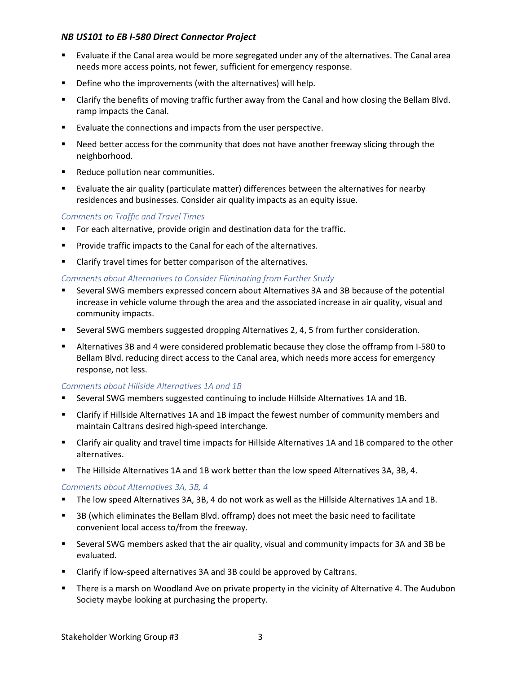#### *NB US101 to EB I-580 Direct Connector Project*

- Evaluate if the Canal area would be more segregated under any of the alternatives. The Canal area needs more access points, not fewer, sufficient for emergency response.
- Define who the improvements (with the alternatives) will help.
- Clarify the benefits of moving traffic further away from the Canal and how closing the Bellam Blvd. ramp impacts the Canal.
- Evaluate the connections and impacts from the user perspective.
- **Need better access for the community that does not have another freeway slicing through the** neighborhood.
- Reduce pollution near communities.
- Evaluate the air quality (particulate matter) differences between the alternatives for nearby residences and businesses. Consider air quality impacts as an equity issue.

#### *Comments on Traffic and Travel Times*

- For each alternative, provide origin and destination data for the traffic.
- Provide traffic impacts to the Canal for each of the alternatives.
- Clarify travel times for better comparison of the alternatives.

#### *Comments about Alternatives to Consider Eliminating from Further Study*

- Several SWG members expressed concern about Alternatives 3A and 3B because of the potential increase in vehicle volume through the area and the associated increase in air quality, visual and community impacts.
- **Several SWG members suggested dropping Alternatives 2, 4, 5 from further consideration.**
- Alternatives 3B and 4 were considered problematic because they close the offramp from I-580 to Bellam Blvd. reducing direct access to the Canal area, which needs more access for emergency response, not less.

#### *Comments about Hillside Alternatives 1A and 1B*

- Several SWG members suggested continuing to include Hillside Alternatives 1A and 1B.
- Clarify if Hillside Alternatives 1A and 1B impact the fewest number of community members and maintain Caltrans desired high-speed interchange.
- Clarify air quality and travel time impacts for Hillside Alternatives 1A and 1B compared to the other alternatives.
- The Hillside Alternatives 1A and 1B work better than the low speed Alternatives 3A, 3B, 4.

*Comments about Alternatives 3A, 3B, 4*

- The low speed Alternatives 3A, 3B, 4 do not work as well as the Hillside Alternatives 1A and 1B.
- 3B (which eliminates the Bellam Blvd. offramp) does not meet the basic need to facilitate convenient local access to/from the freeway.
- Several SWG members asked that the air quality, visual and community impacts for 3A and 3B be evaluated.
- Clarify if low-speed alternatives 3A and 3B could be approved by Caltrans.
- There is a marsh on Woodland Ave on private property in the vicinity of Alternative 4. The Audubon Society maybe looking at purchasing the property.